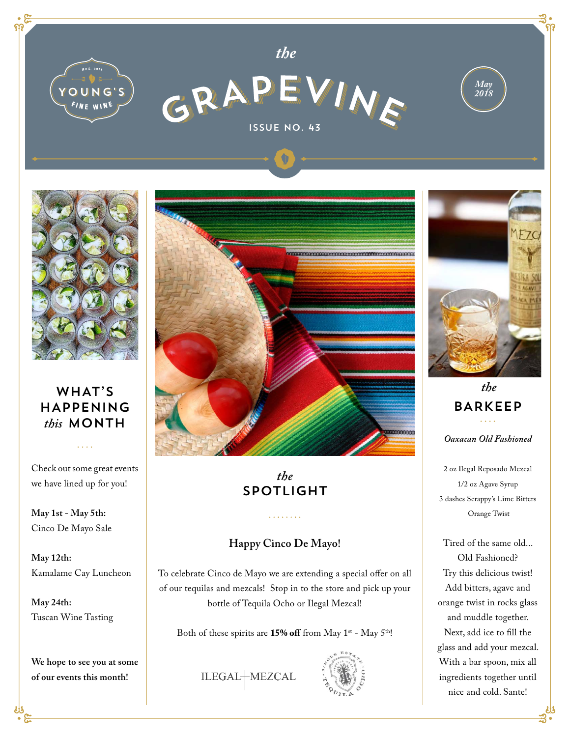



## WHAT'S HAPPENING *this* MONTH

Check out some great events we have lined up for you!

 $\mathbf{1}$  and  $\mathbf{1}$ 

**May 1st - May 5th:**  Cinco De Mayo Sale

**May 12th:**  Kamalame Cay Luncheon

**May 24th:** Tuscan Wine Tasting

**We hope to see you at some of our events this month!**



## *the* SPOTLIGHT

#### **Happy Cinco De Mayo!**

To celebrate Cinco de Mayo we are extending a special offer on all of our tequilas and mezcals! Stop in to the store and pick up your bottle of Tequila Ocho or Ilegal Mezcal!

Both of these spirits are 15% off from May 1<sup>st</sup> - May 5<sup>th</sup>!

ILEGAL-MEZCAL





*Oaxacan Old Fashioned the* BARKEEP

2 oz Ilegal Reposado Mezcal 1/2 oz Agave Syrup 3 dashes Scrappy's Lime Bitters Orange Twist

Tired of the same old... Old Fashioned? Try this delicious twist! Add bitters, agave and orange twist in rocks glass and muddle together. Next, add ice to fill the glass and add your mezcal. With a bar spoon, mix all ingredients together until nice and cold. Sante!